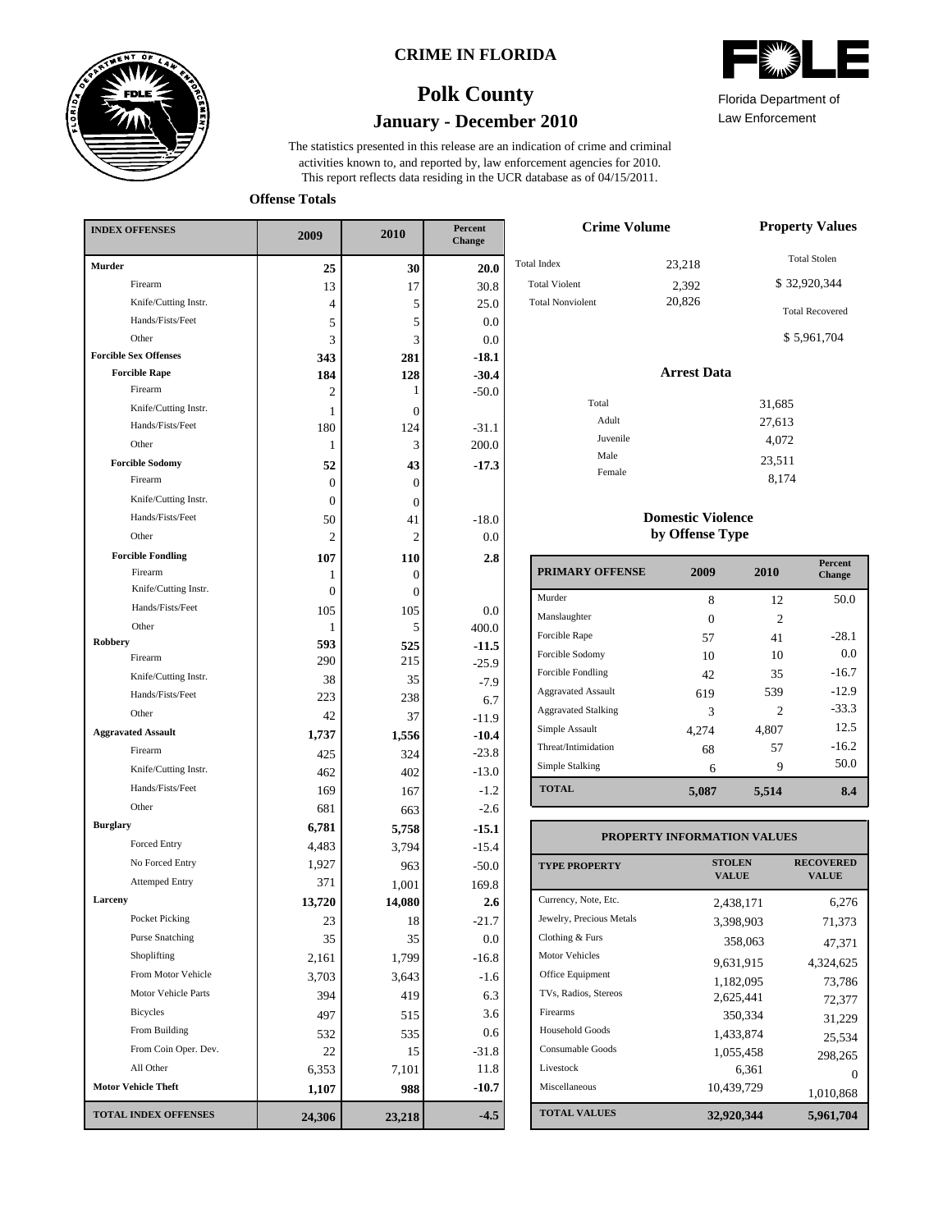

### **CRIME IN FLORIDA**





Law Enforcement Florida Department of

8,174

This report reflects data residing in the UCR database as of 04/15/2011. activities known to, and reported by, law enforcement agencies for 2010. The statistics presented in this release are an indication of crime and criminal

**Offense Totals**

| <b>INDEX OFFENSES</b>        | 2009     | 2010           | Percent<br>Change |
|------------------------------|----------|----------------|-------------------|
| Murder                       | 25       | 30             | 20.0              |
| Firearm                      | 13       | 17             | 30.8              |
| Knife/Cutting Instr.         | 4        | 5              | 25.0              |
| Hands/Fists/Feet             | 5        | 5              | 0.0               |
| Other                        | 3        | 3              | 0.0               |
| <b>Forcible Sex Offenses</b> | 343      | 281            | $-18.1$           |
| <b>Forcible Rape</b>         | 184      | 128            | $-30.4$           |
| Firearm                      | 2        | 1              | $-50.0$           |
| Knife/Cutting Instr.         | 1        | 0              |                   |
| Hands/Fists/Feet             | 180      | 124            | $-31.1$           |
| Other                        | 1        | 3              | 200.0             |
| <b>Forcible Sodomy</b>       | 52       | 43             | $-17.3$           |
| Firearm                      | $\Omega$ | 0              |                   |
| Knife/Cutting Instr.         | $\Omega$ | 0              |                   |
| Hands/Fists/Feet             | 50       | 41             | $-18.0$           |
| Other                        | 2        | 2              | $_{0.0}$          |
| <b>Forcible Fondling</b>     | 107      | 110            | 2.8               |
| Firearm                      | 1        | 0              |                   |
| Knife/Cutting Instr.         | $\Omega$ | $\overline{0}$ |                   |
| Hands/Fists/Feet             | 105      | 105            | 0.0               |
| Other                        | 1        | 5              | 400.0             |
| Robbery<br>Firearm           | 593      | 525            | $-11.5$           |
| Knife/Cutting Instr.         | 290      | 215            | $-25.9$           |
| Hands/Fists/Feet             | 38       | 35             | $-7.9$            |
| Other                        | 223      | 238            | 6.7               |
| <b>Aggravated Assault</b>    | 42       | 37             | $-11.9$           |
| Firearm                      | 1,737    | 1,556          | $-10.4$           |
| Knife/Cutting Instr.         | 425      | 324            | $-23.8$           |
| Hands/Fists/Feet             | 462      | 402            | $-13.0$           |
|                              | 169      | 167            | $-1.2$            |
| Other                        | 681      | 663            | $-2.6$            |
| <b>Burglary</b>              | 6,781    | 5,758          | $-15.1$           |
| <b>Forced Entry</b>          | 4,483    | 3,794          | $-15.4$           |
| No Forced Entry              | 1,927    | 963            | $-50.0$           |
| <b>Attemped Entry</b>        | 371      | 1,001          | 169.8             |
| Larceny                      | 13,720   | 14,080         | 2.6               |
| Pocket Picking               | 23       | 18             | $-21.7$           |
| <b>Purse Snatching</b>       | 35       | 35             | 0.0               |
| Shoplifting                  | 2,161    | 1,799          | $-16.8$           |
| From Motor Vehicle           | 3,703    | 3,643          | $-1.6$            |
| Motor Vehicle Parts          | 394      | 419            | 6.3               |
| <b>Bicycles</b>              | 497      | 515            | 3.6               |
| From Building                | 532      | 535            | 0.6               |
| From Coin Oper. Dev.         | 22       | 15             | $-31.8$           |
| All Other                    | 6,353    | 7,101          | 11.8              |
| <b>Motor Vehicle Theft</b>   | 1,107    | 988            | $-10.7$           |
| <b>TOTAL INDEX OFFENSES</b>  | 24,306   | 23,218         | $-4.5$            |

| <b>Crime Volume</b>     | <b>Property Values</b> |                        |
|-------------------------|------------------------|------------------------|
| <b>Total Index</b>      | 23,218                 | <b>Total Stolen</b>    |
| <b>Total Violent</b>    | 2,392                  | \$32,920,344           |
| <b>Total Nonviolent</b> | 20,826                 | <b>Total Recovered</b> |
|                         |                        | \$5,961,704            |
|                         | <b>Arrest Data</b>     |                        |
| Total                   |                        | 31,685                 |
| Adult                   |                        | 27,613                 |
| Juvenile                |                        | 4,072                  |
| Male                    |                        | 23,511                 |

### **Domestic Violence by Offense Type**

Female

| <b>PRIMARY OFFENSE</b>     | 2009  | 2010  | <b>Percent</b><br>Change |
|----------------------------|-------|-------|--------------------------|
| Murder                     | 8     | 12    | 50.0                     |
| Manslaughter               | 0     | 2     |                          |
| Forcible Rape              | 57    | 41    | $-28.1$                  |
| Forcible Sodomy            | 10    | 10    | 0.0                      |
| Forcible Fondling          | 42    | 35    | $-16.7$                  |
| <b>Aggravated Assault</b>  | 619   | 539   | $-12.9$                  |
| <b>Aggravated Stalking</b> | 3     | 2     | $-33.3$                  |
| Simple Assault             | 4,274 | 4,807 | 12.5                     |
| Threat/Intimidation        | 68    | 57    | $-16.2$                  |
| Simple Stalking            | 6     | 9     | 50.0                     |
| <b>TOTAL</b>               | 5,087 | 5,514 | 8.4                      |

#### **TOTAL VALUES VALUE PROPERTY STOLEN RECOVERED PROPERTY INFORMATION VALUES** Currency, Note, Etc. Jewelry, Precious Metals Clothing & Furs Motor Vehicles Office Equipment TVs, Radios, Stereos Firearms Household Goods Consumable Goods Livestock Miscellaneous 2,438,171 6,276 3,398,903 71,373 358,063 47,371 9,631,915 4,324,625 1,182,095 73,786 2,625,441 72,377 350,334 31,229 1,433,874 25,534 1,055,458 298,265  $6,361$  0<br>10,439,729 1.010.868 1,010,868 **32,920,344 5,961,704**